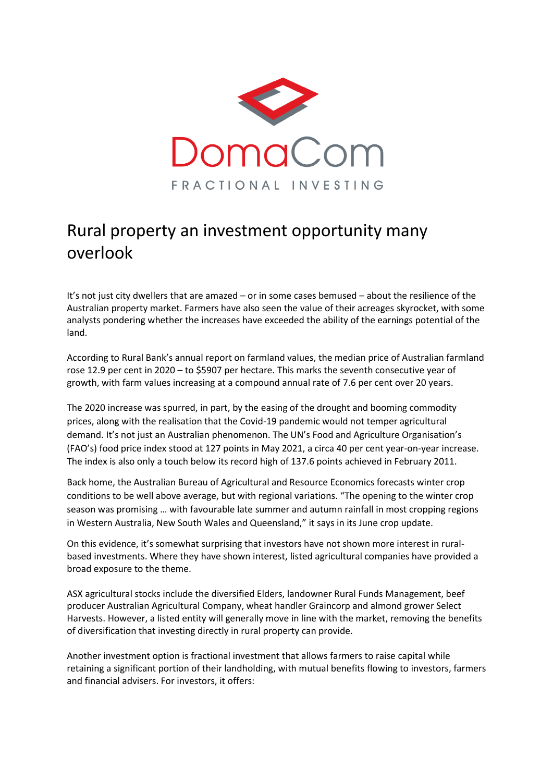

## Rural property an investment opportunity many overlook

It's not just city dwellers that are amazed – or in some cases bemused – about the resilience of the Australian property market. Farmers have also seen the value of their acreages skyrocket, with some analysts pondering whether the increases have exceeded the ability of the earnings potential of the land.

According to Rural Bank's annual report on farmland values, the median price of Australian farmland rose 12.9 per cent in 2020 – to \$5907 per hectare. This marks the seventh consecutive year of growth, with farm values increasing at a compound annual rate of 7.6 per cent over 20 years.

The 2020 increase was spurred, in part, by the easing of the drought and booming commodity prices, along with the realisation that the Covid-19 pandemic would not temper agricultural demand. It's not just an Australian phenomenon. The UN's Food and Agriculture Organisation's (FAO's) food price index stood at 127 points in May 2021, a circa 40 per cent year-on-year increase. The index is also only a touch below its record high of 137.6 points achieved in February 2011.

Back home, the Australian Bureau of Agricultural and Resource Economics forecasts winter crop conditions to be well above average, but with regional variations. "The opening to the winter crop season was promising … with favourable late summer and autumn rainfall in most cropping regions in Western Australia, New South Wales and Queensland," it says in its June crop update.

On this evidence, it's somewhat surprising that investors have not shown more interest in ruralbased investments. Where they have shown interest, listed agricultural companies have provided a broad exposure to the theme.

ASX agricultural stocks include the diversified Elders, landowner Rural Funds Management, beef producer Australian Agricultural Company, wheat handler Graincorp and almond grower Select Harvests. However, a listed entity will generally move in line with the market, removing the benefits of diversification that investing directly in rural property can provide.

Another investment option is fractional investment that allows farmers to raise capital while retaining a significant portion of their landholding, with mutual benefits flowing to investors, farmers and financial advisers. For investors, it offers: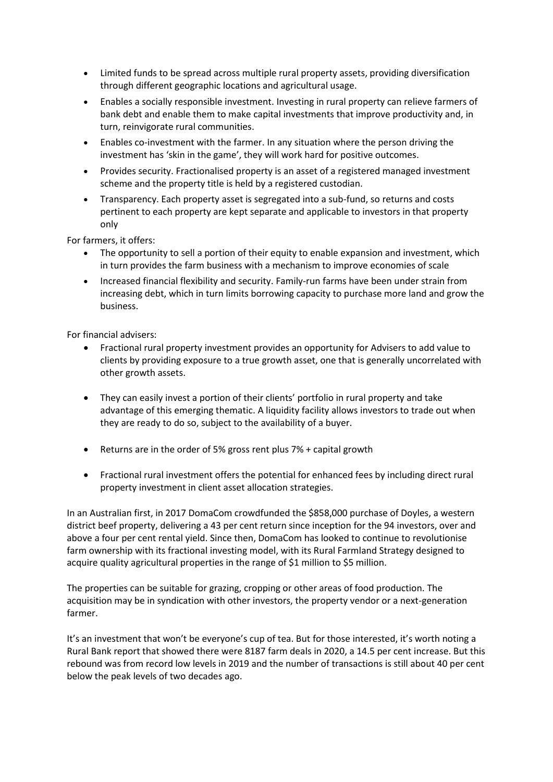- Limited funds to be spread across multiple rural property assets, providing diversification through different geographic locations and agricultural usage.
- Enables a socially responsible investment. Investing in rural property can relieve farmers of bank debt and enable them to make capital investments that improve productivity and, in turn, reinvigorate rural communities.
- Enables co-investment with the farmer. In any situation where the person driving the investment has 'skin in the game', they will work hard for positive outcomes.
- Provides security. Fractionalised property is an asset of a registered managed investment scheme and the property title is held by a registered custodian.
- Transparency. Each property asset is segregated into a sub-fund, so returns and costs pertinent to each property are kept separate and applicable to investors in that property only

For farmers, it offers:

- The opportunity to sell a portion of their equity to enable expansion and investment, which in turn provides the farm business with a mechanism to improve economies of scale
- Increased financial flexibility and security. Family-run farms have been under strain from increasing debt, which in turn limits borrowing capacity to purchase more land and grow the business.

For financial advisers:

- Fractional rural property investment provides an opportunity for Advisers to add value to clients by providing exposure to a true growth asset, one that is generally uncorrelated with other growth assets.
- They can easily invest a portion of their clients' portfolio in rural property and take advantage of this emerging thematic. A liquidity facility allows investors to trade out when they are ready to do so, subject to the availability of a buyer.
- Returns are in the order of 5% gross rent plus 7% + capital growth
- Fractional rural investment offers the potential for enhanced fees by including direct rural property investment in client asset allocation strategies.

In an Australian first, in 2017 DomaCom crowdfunded the \$858,000 purchase of Doyles, a western district beef property, delivering a 43 per cent return since inception for the 94 investors, over and above a four per cent rental yield. Since then, DomaCom has looked to continue to revolutionise farm ownership with its fractional investing model, with its Rural Farmland Strategy designed to acquire quality agricultural properties in the range of \$1 million to \$5 million.

The properties can be suitable for grazing, cropping or other areas of food production. The acquisition may be in syndication with other investors, the property vendor or a next-generation farmer.

It's an investment that won't be everyone's cup of tea. But for those interested, it's worth noting a Rural Bank report that showed there were 8187 farm deals in 2020, a 14.5 per cent increase. But this rebound was from record low levels in 2019 and the number of transactions is still about 40 per cent below the peak levels of two decades ago.